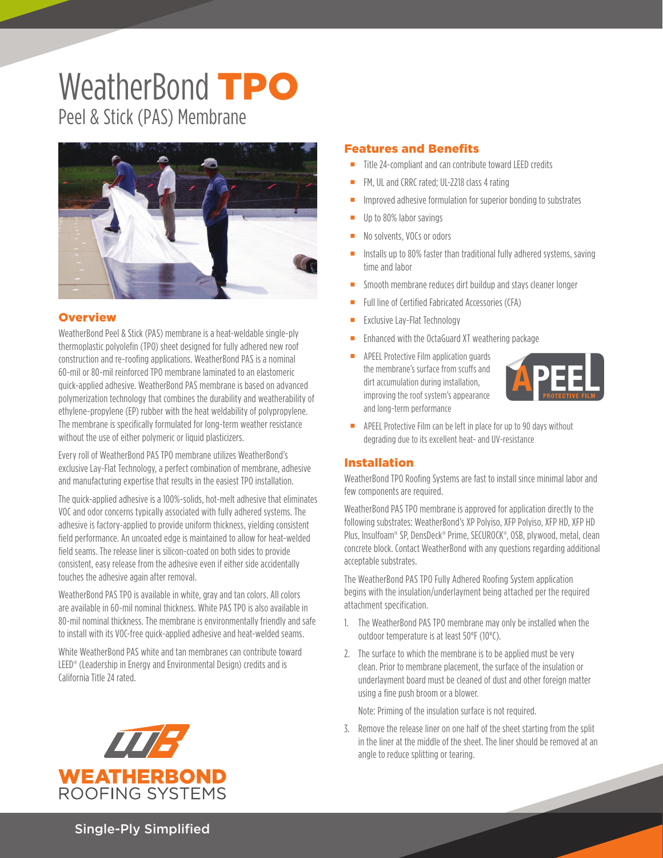# WeatherBond TPO Peel & Stick (PAS) Membrane



## **Overview**

WeatherBond Peel & Stick (PAS) membrane is a heat-weldable single-ply thermoplastic polyolefin (TPO) sheet designed for fully adhered new roof construction and re-roofing applications. WeatherBond PAS is a nominal 60-mil or 80-mil reinforced TPO membrane laminated to an elastomeric quick-applied adhesive. WeatherBond PAS membrane is based on advanced polymerization technology that combines the durability and weatherability of ethylene-propylene (EP) rubber with the heat weldability of polypropylene. The membrane is specifically formulated for long-term weather resistance without the use of either polymeric or liquid plasticizers.

Every roll of WeatherBond PAS TPO membrane utilizes WeatherBond's exclusive Lay-Flat Technology, a perfect combination of membrane, adhesive and manufacturing expertise that results in the easiest TPO installation.

The quick-applied adhesive is a 100%-solids, hot-melt adhesive that eliminates VOC and odor concerns typically associated with fully adhered systems. The adhesive is factory-applied to provide uniform thickness, yielding consistent field performance. An uncoated edge is maintained to allow for heat-welded field seams. The release liner is silicon-coated on both sides to provide consistent, easy release from the adhesive even if either side accidentally touches the adhesive again after removal.

WeatherBond PAS TPO is available in white, gray and tan colors. All colors are available in 60-mil nominal thickness. White PAS TPO is also available in 80-mil nominal thickness. The membrane is environmentally friendly and safe to install with its VOC-free quick-applied adhesive and heat-welded seams.

White WeatherBond PAS white and tan membranes can contribute toward LEED® (Leadership in Energy and Environmental Design) credits and is California Title 24 rated.



#### Features and Benefits

- Title 24-compliant and can contribute toward LEED credits
- FM, UL and CRRC rated; UL-2218 class 4 rating
- Improved adhesive formulation for superior bonding to substrates
- Up to 80% labor savings
- No solvents, VOCs or odors
- Installs up to 80% faster than traditional fully adhered systems, saving time and labor
- Smooth membrane reduces dirt buildup and stays cleaner longer
- Full line of Certified Fabricated Accessories (CFA)
- Exclusive Lay-Flat Technology
- Enhanced with the OctaGuard XT weathering package
- APEEL Protective Film application guards the membrane's surface from scuffs and dirt accumulation during installation, improving the roof system's appearance and long-term performance



**APEEL Protective Film can be left in place for up to 90 days without** degrading due to its excellent heat- and UV-resistance

#### Installation

WeatherBond TPO Roofing Systems are fast to install since minimal labor and few components are required.

WeatherBond PAS TPO membrane is approved for application directly to the following substrates: WeatherBond's XP Polyiso, XFP Polyiso, XFP HD, XFP HD Plus, Insulfoam® SP, DensDeck® Prime, SECUROCK®, OSB, plywood, metal, clean concrete block. Contact WeatherBond with any questions regarding additional acceptable substrates.

The WeatherBond PAS TPO Fully Adhered Roofing System application begins with the insulation/underlayment being attached per the required attachment specification.

- 1. The WeatherBond PAS TPO membrane may only be installed when the outdoor temperature is at least 50°F (10°C).
- 2. The surface to which the membrane is to be applied must be very clean. Prior to membrane placement, the surface of the insulation or underlayment board must be cleaned of dust and other foreign matter using a fine push broom or a blower.

Note: Priming of the insulation surface is not required.

3. Remove the release liner on one half of the sheet starting from the split in the liner at the middle of the sheet. The liner should be removed at an angle to reduce splitting or tearing.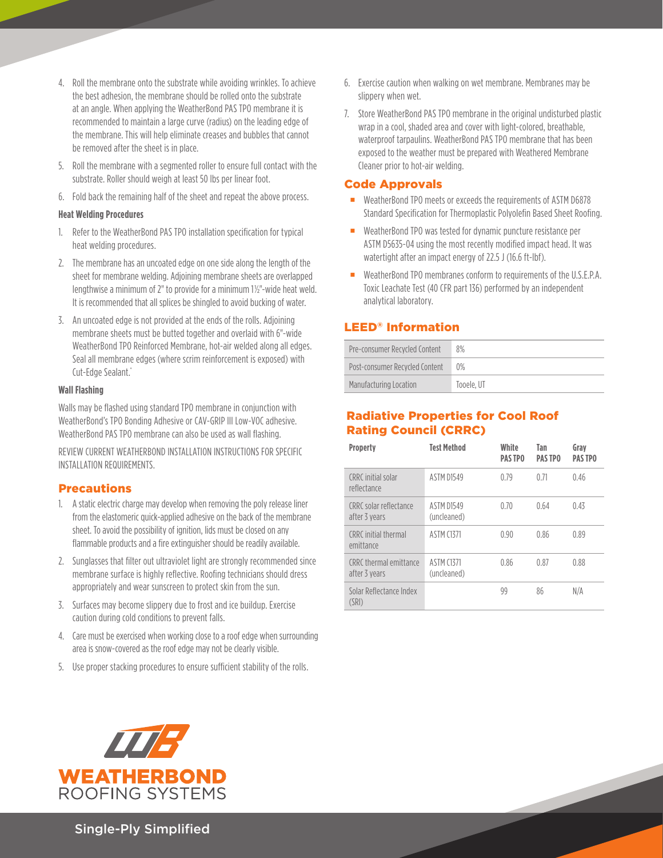- 4. Roll the membrane onto the substrate while avoiding wrinkles. To achieve the best adhesion, the membrane should be rolled onto the substrate at an angle. When applying the WeatherBond PAS TPO membrane it is recommended to maintain a large curve (radius) on the leading edge of the membrane. This will help eliminate creases and bubbles that cannot be removed after the sheet is in place.
- 5. Roll the membrane with a segmented roller to ensure full contact with the substrate. Roller should weigh at least 50 lbs per linear foot.
- 6. Fold back the remaining half of the sheet and repeat the above process.

#### **Heat Welding Procedures**

- 1. Refer to the WeatherBond PAS TPO installation specification for typical heat welding procedures.
- 2. The membrane has an uncoated edge on one side along the length of the sheet for membrane welding. Adjoining membrane sheets are overlapped lengthwise a minimum of 2" to provide for a minimum 1½"-wide heat weld. It is recommended that all splices be shingled to avoid bucking of water.
- 3. An uncoated edge is not provided at the ends of the rolls. Adjoining membrane sheets must be butted together and overlaid with 6"-wide WeatherBond TPO Reinforced Membrane, hot-air welded along all edges. Seal all membrane edges (where scrim reinforcement is exposed) with Cut-Edge Sealant.\*

#### **Wall Flashing**

Walls may be flashed using standard TPO membrane in conjunction with WeatherBond's TPO Bonding Adhesive or CAV-GRIP III Low-VOC adhesive. WeatherBond PAS TPO membrane can also be used as wall flashing.

REVIEW CURRENT WEATHERBOND INSTALLATION INSTRUCTIONS FOR SPECIFIC INSTALLATION REQUIREMENTS.

## Precautions

- 1. A static electric charge may develop when removing the poly release liner from the elastomeric quick-applied adhesive on the back of the membrane sheet. To avoid the possibility of ignition, lids must be closed on any flammable products and a fire extinguisher should be readily available.
- 2. Sunglasses that filter out ultraviolet light are strongly recommended since membrane surface is highly reflective. Roofing technicians should dress appropriately and wear sunscreen to protect skin from the sun.
- 3. Surfaces may become slippery due to frost and ice buildup. Exercise caution during cold conditions to prevent falls.
- 4. Care must be exercised when working close to a roof edge when surrounding area is snow-covered as the roof edge may not be clearly visible.
- 5. Use proper stacking procedures to ensure sufficient stability of the rolls.
- 6. Exercise caution when walking on wet membrane. Membranes may be slippery when wet.
- 7. Store WeatherBond PAS TPO membrane in the original undisturbed plastic wrap in a cool, shaded area and cover with light-colored, breathable, waterproof tarpaulins. WeatherBond PAS TPO membrane that has been exposed to the weather must be prepared with Weathered Membrane Cleaner prior to hot-air welding.

## Code Approvals

- WeatherBond TPO meets or exceeds the requirements of ASTM D6878 Standard Specification for Thermoplastic Polyolefin Based Sheet Roofing.
- WeatherBond TPO was tested for dynamic puncture resistance per ASTM D5635-04 using the most recently modified impact head. It was watertight after an impact energy of 22.5 J (16.6 ft-lbf).
- WeatherBond TPO membranes conform to requirements of the U.S.E.P.A. Toxic Leachate Test (40 CFR part 136) performed by an independent analytical laboratory.

# LEED® Information

| Pre-consumer Recycled Content  | 8%         |
|--------------------------------|------------|
| Post-consumer Recycled Content | 0%         |
| Manufacturing Location         | Tooele. UT |

# Radiative Properties for Cool Roof Rating Council (CRRC)

| Property                                | <b>Test Method</b>               | White<br><b>PASTPO</b> | Tan<br><b>PASTPO</b> | Grav<br><b>PASTPO</b> |
|-----------------------------------------|----------------------------------|------------------------|----------------------|-----------------------|
| CRRC initial solar<br>reflectance       | ASTM D1549                       | 0.79                   | 0.71                 | 0.46                  |
| CRRC solar reflectance<br>after 3 years | <b>ASTM D1549</b><br>(uncleaned) | 0.70                   | 0.64                 | 0.43                  |
| CRRC initial thermal<br>emittance       | <b>ASTM (1371)</b>               | 0.90                   | 0.86                 | 0.89                  |
| CRRC thermal emittance<br>after 3 years | <b>ASTM C1371</b><br>(uncleaned) | 0.86                   | 0.87                 | 0.88                  |
| Solar Reflectance Index<br>(SRI)        |                                  | 99                     | 86                   | N/A                   |



Single-Ply Simplified